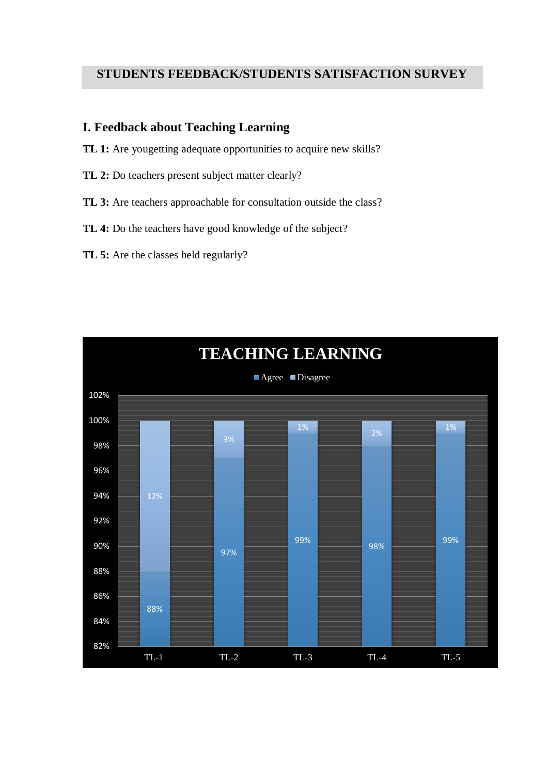### **STUDENTS FEEDBACK/STUDENTS SATISFACTION SURVEY**

# **I. Feedback about Teaching Learning**

**TL 1:** Are yougetting adequate opportunities to acquire new skills?

- **TL 2:** Do teachers present subject matter clearly?
- **TL 3:** Are teachers approachable for consultation outside the class?
- **TL 4:** Do the teachers have good knowledge of the subject?
- **TL 5:** Are the classes held regularly?

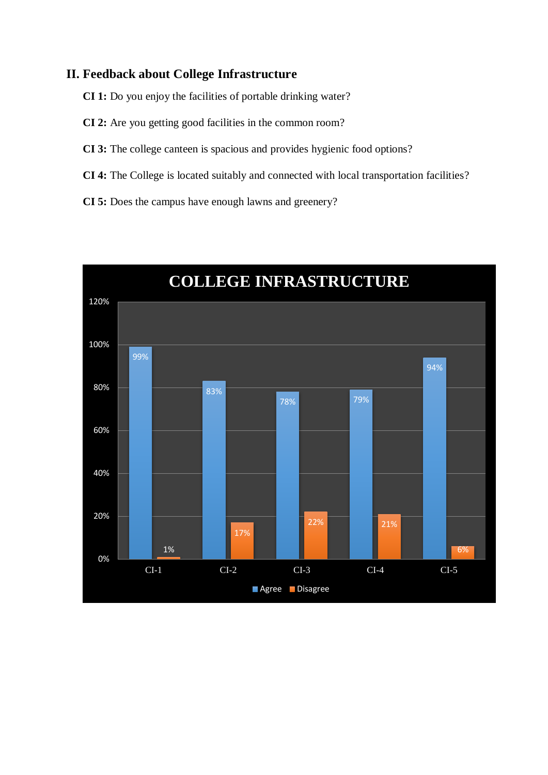# **II. Feedback about College Infrastructure**

**CI 1:** Do you enjoy the facilities of portable drinking water?

- **CI 2:** Are you getting good facilities in the common room?
- **CI 3:** The college canteen is spacious and provides hygienic food options?
- **CI 4:** The College is located suitably and connected with local transportation facilities?
- **CI 5:** Does the campus have enough lawns and greenery?

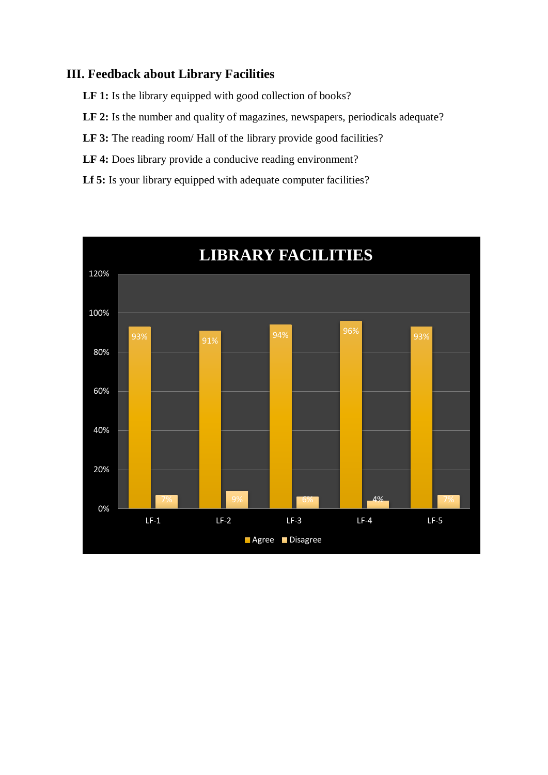#### **III. Feedback about Library Facilities**

LF 1: Is the library equipped with good collection of books?

- LF 2: Is the number and quality of magazines, newspapers, periodicals adequate?
- LF 3: The reading room/ Hall of the library provide good facilities?
- LF 4: Does library provide a conducive reading environment?
- Lf 5: Is your library equipped with adequate computer facilities?

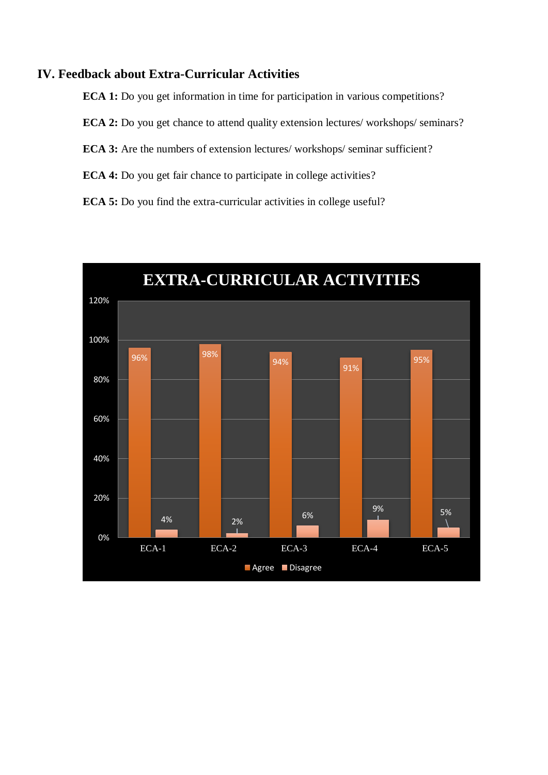### **IV. Feedback about Extra-Curricular Activities**

**ECA 1:** Do you get information in time for participation in various competitions?

**ECA 2:** Do you get chance to attend quality extension lectures/ workshops/ seminars?

**ECA 3:** Are the numbers of extension lectures/ workshops/ seminar sufficient?

**ECA 4:** Do you get fair chance to participate in college activities?

**ECA 5:** Do you find the extra-curricular activities in college useful?